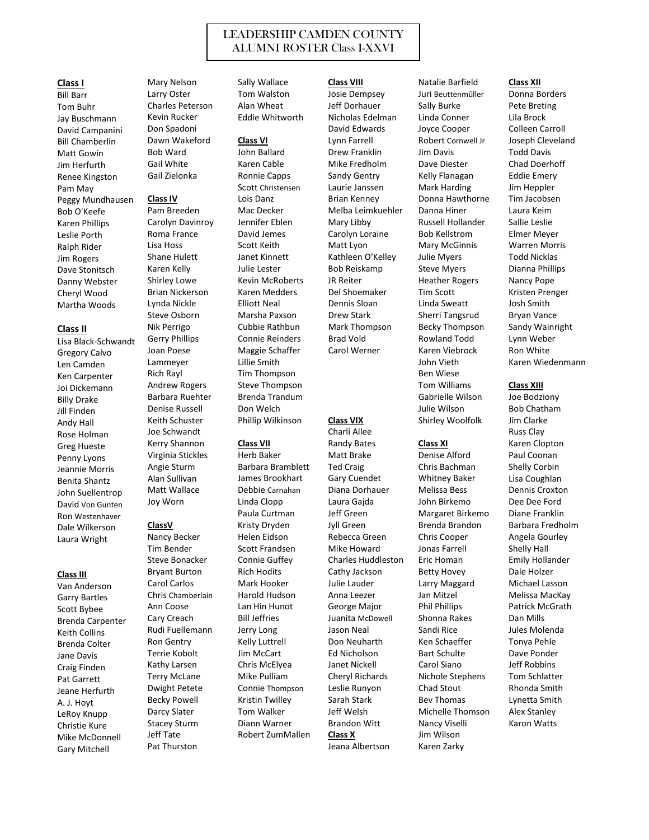# LEADERSHIP CAMDEN COUNTY ALUMNI ROSTER Class I-XXVI

### **Class I**

Bill Barr Tom Buhr Jay Buschmann David Campanini Bill Chamberlin Matt Gowin Jim Herfurth Renee Kingston Pam May Peggy Mundhausen Bob O'Keefe Karen Phillips Leslie Porth Ralph Rider Jim Rogers Dave Stonitsch Danny Webster Cheryl Wood Martha Woods

### **Class II**

Lisa Black-Schwandt Gregory Calvo Len Camden Ken Carpenter Joi Dickemann Billy Drake Jill Finden Andy Hall Rose Holman Greg Hueste Penny Lyons Jeannie Morris Benita Shantz John Suellentrop David Von Gunten Ron Westenhaver Dale Wilkerson Laura Wright

### **Class III**

Van Anderson Garry Bartles Scott Bybee Brenda Carpenter Keith Collins Brenda Colter Jane Davis Craig Finden Pat Garrett Jeane Herfurth A. J. Hoyt LeRoy Knupp Christie Kure Mike McDonnell Gary Mitchell

Mary Nelson Larry Oster Charles Peterson Kevin Rucker Don Spadoni Dawn Wakeford Bob Ward Gail White Gail Zielonka

### **Class IV**

Pam Breeden Carolyn Davinroy Roma France Lisa Hoss Shane Hulett Karen Kelly Shirley Lowe Brian Nickerson Lynda Nickle Steve Osborn Nik Perrigo Gerry Phillips Joan Poese Lammeyer Rich Rayl Andrew Rogers Barbara Ruehter Denise Russell Keith Schuster Joe Schwandt Kerry Shannon Virginia Stickles Angie Sturm Alan Sullivan Matt Wallace Joy Worn

## **ClassV**

Nancy Becker Tim Bender Steve Bonacker Bryant Burton Carol Carlos Chris Chamberlain Ann Coose Cary Creach Rudi Fuellemann Ron Gentry Terrie Kobolt Kathy Larsen Terry McLane Dwight Petete Becky Powell Darcy Slater Stacey Sturm Jeff Tate Pat Thurston

Sally Wallace Tom Walston Alan Wheat Eddie Whitworth

### **Class VI**

John Ballard Karen Cable Ronnie Capps Scott Christensen Lois Danz Mac Decker Jennifer Eblen David Jemes Scott Keith Janet Kinnett Julie Lester Kevin McRoberts Karen Medders Elliott Neal Marsha Paxson Cubbie Rathbun Connie Reinders Maggie Schaffer Lillie Smith Tim Thompson Steve Thompson Brenda Trandum Don Welch Phillip Wilkinson

### **Class VII**

Herb Baker Barbara Bramblett James Brookhart Debbie Carnahan Linda Clopp Paula Curtman Kristy Dryden Helen Eidson Scott Frandsen Connie Guffey Rich Hodits Mark Hooker Harold Hudson Lan Hin Hunot Bill Jeffries Jerry Long Kelly Luttrell Jim McCart Chris McElyea Mike Pulliam Connie Thompson Kristin Twilley Tom Walker Diann Warner Robert ZumMallen **Class VIII** Josie Dempsey Jeff Dorhauer Nicholas Edelman David Edwards Lynn Farrell Drew Franklin Mike Fredholm Sandy Gentry Laurie Janssen Brian Kenney Melba Leimkuehler Mary Libby Carolyn Loraine Matt Lyon Kathleen O'Kelley Bob Reiskamp JR Reiter Del Shoemaker Dennis Sloan Drew Stark Mark Thompson Brad Vold Carol Werner **Class VIX** Charli Allee

Randy Bates Matt Brake Ted Craig Gary Cuendet Diana Dorhauer Laura Gajda Jeff Green Jyll Green Rebecca Green Mike Howard Charles Huddleston Cathy Jackson Julie Lauder Anna Leezer George Major Juanita McDowell Jason Neal Don Neuharth Ed Nicholson Janet Nickell Cheryl Richards Leslie Runyon Sarah Stark Jeff Welsh Brandon Witt **Class X** Jeana Albertson

Natalie Barfield Juri Beuttenmūller Sally Burke Linda Conner Joyce Cooper Robert Cornwell Jr Jim Davis Dave Diester Kelly Flanagan Mark Harding Donna Hawthorne Danna Hiner Russell Hollander Bob Kellstrom Mary McGinnis Julie Myers Steve Myers Heather Rogers Tim Scott Linda Sweatt Sherri Tangsrud Becky Thompson Rowland Todd Karen Viebrock John Vieth Ben Wiese Tom Williams Gabrielle Wilson Julie Wilson Shirley Woolfolk

### **Class XI**

Denise Alford Chris Bachman Whitney Baker Melissa Bess John Birkemo Margaret Birkemo Brenda Brandon Chris Cooper Jonas Farrell Eric Homan Betty Hovey Larry Maggard Jan Mitzel Phil Phillips Shonna Rakes Sandi Rice Ken Schaeffer Bart Schulte Carol Siano Nichole Stephens Chad Stout Bev Thomas Michelle Thomson Nancy Viselli Jim Wilson Karen Zarky

### **Class XII**

Donna Borders Pete Breting Lila Brock Colleen Carroll Joseph Cleveland Todd Davis Chad Doerhoff Eddie Emery Jim Heppler Tim Jacobsen Laura Keim Sallie Leslie Elmer Meyer Warren Morris Todd Nicklas Dianna Phillips Nancy Pope Kristen Prenger Josh Smith Bryan Vance Sandy Wainright Lynn Weber Ron White Karen Wiedenmann

### **Class XIII**

Joe Bodziony Bob Chatham Jim Clarke Russ Clay Karen Clopton Paul Coonan Shelly Corbin Lisa Coughlan Dennis Croxton Dee Dee Ford Diane Franklin Barbara Fredholm Angela Gourley Shelly Hall Emily Hollander Dale Holzer Michael Lasson Melissa MacKay Patrick McGrath Dan Mills Jules Molenda Tonya Pehle Dave Ponder Jeff Robbins Tom Schlatter Rhonda Smith Lynetta Smith Alex Stanley Karon Watts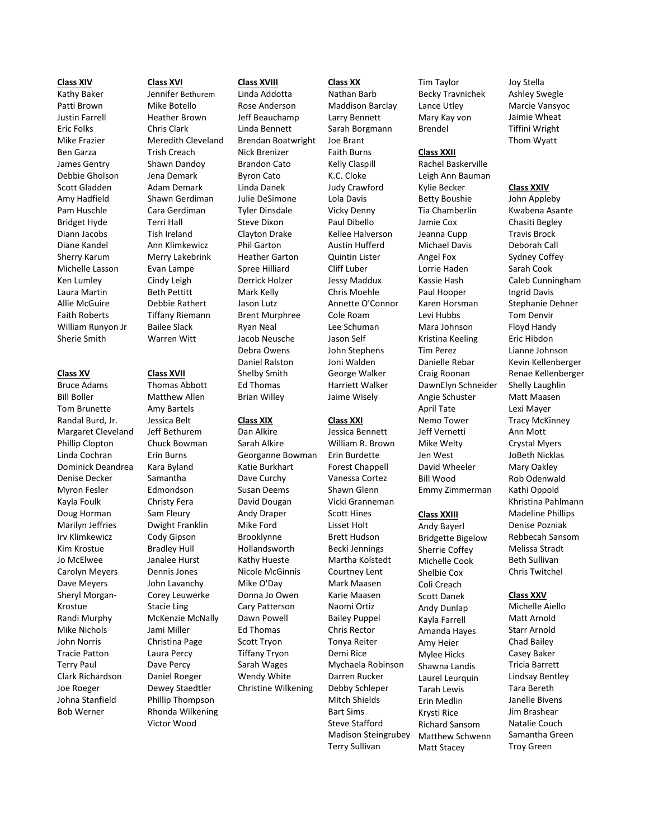#### **Class XIV**

Kathy Baker Patti Brown Justin Farrell Eric Folks Mike Frazier Ben Garza James Gentry Debbie Gholson Scott Gladden Amy Hadfield Pam Huschle Bridget Hyde Diann Jacobs Diane Kandel Sherry Karum Michelle Lasson Ken Lumley Laura Martin Allie McGuire Faith Roberts William Runyon Jr Sherie Smith

**Class XV**

Bill Boller

Kayla Foulk

Kim Krostue Jo McElwee

Krostue

John Norris

Terry Paul

Joe Roeger

Bob Werner

## Mike Botello Heather Brown Chris Clark Meredith Cleveland Trish Creach Shawn Dandoy Jena Demark Adam Demark Shawn Gerdiman Cara Gerdiman Terri Hall Tish Ireland Ann Klimkewicz Merry Lakebrink Evan Lampe Cindy Leigh Beth Pettitt Debbie Rathert Tiffany Riemann Bailee Slack

Warren Witt

**Class XVI** Jennifer Bethurem

Bruce Adams Tom Brunette Randal Burd, Jr. Margaret Cleveland Phillip Clopton Linda Cochran Dominick Deandrea Denise Decker Myron Fesler Doug Horman Marilyn Jeffries Irv Klimkewicz Carolyn Meyers Dave Meyers Sheryl Morgan-Randi Murphy Mike Nichols Tracie Patton Clark Richardson Johna Stanfield Victor Wood

#### **Class XVIII**

Linda Addotta Rose Anderson Jeff Beauchamp Linda Bennett Brendan Boatwright Nick Brenizer Brandon Cato Byron Cato Linda Danek Julie DeSimone Tyler Dinsdale Steve Dixon Clayton Drake Phil Garton Heather Garton Spree Hilliard Derrick Holzer Mark Kelly Jason Lutz Brent Murphree Ryan Neal Jacob Neusche Debra Owens Daniel Ralston Shelby Smith Ed Thomas Brian Willey

### **Class XIX**

Dan Alkire Sarah Alkire Georganne Bowman Katie Burkhart Dave Curchy Susan Deems David Dougan Andy Draper Mike Ford Brooklynne Hollandsworth Kathy Hueste Nicole McGinnis Mike O'Day Donna Jo Owen Cary Patterson Dawn Powell Ed Thomas Scott Tryon Tiffany Tryon Sarah Wages Wendy White Christine Wilkening

**Class XX** Nathan Barb Maddison Barclay Larry Bennett Sarah Borgmann Joe Brant Faith Burns Kelly Claspill K.C. Cloke Judy Crawford Lola Davis Vicky Denny Paul Dibello Kellee Halverson Austin Hufferd Quintin Lister Cliff Luber Jessy Maddux Chris Moehle Annette O'Connor Cole Roam Lee Schuman Jason Self John Stephens Joni Walden George Walker Harriett Walker Jaime Wisely

## **Class XXI**

Jessica Bennett William R. Brown Erin Burdette Forest Chappell Vanessa Cortez Shawn Glenn Vicki Granneman Scott Hines Lisset Holt Brett Hudson Becki Jennings Martha Kolstedt Courtney Lent Mark Maasen Karie Maasen Naomi Ortiz Bailey Puppel Chris Rector Tonya Reiter Demi Rice Mychaela Robinson Darren Rucker Debby Schleper Mitch Shields Bart Sims Steve Stafford Madison Steingrubey Terry Sullivan

Tim Taylor Becky Travnichek Lance Utley Mary Kay von Brendel

### **Class XXII**

Rachel Baskerville Leigh Ann Bauman Kylie Becker Betty Boushie Tia Chamberlin Jamie Cox Jeanna Cupp Michael Davis Angel Fox Lorrie Haden Kassie Hash Paul Hooper Karen Horsman Levi Hubbs Mara Johnson Kristina Keeling Tim Perez Danielle Rebar Craig Roonan DawnElyn Schneider Angie Schuster April Tate Nemo Tower Jeff Vernetti Mike Welty Jen West David Wheeler Bill Wood Emmy Zimmerman

### **Class XXIII**

Andy Bayerl Bridgette Bigelow Sherrie Coffey Michelle Cook Shelbie Cox Coli Creach Scott Danek Andy Dunlap Kayla Farrell Amanda Hayes Amy Heier Mylee Hicks Shawna Landis Laurel Leurquin Tarah Lewis Erin Medlin Krysti Rice Richard Sansom Matthew Schwenn Matt Stacey

Joy Stella Ashley Swegle Marcie Vansyoc Jaimie Wheat Tiffini Wright Thom Wyatt

### **Class XXIV**

John Appleby Kwabena Asante Chasiti Begley Travis Brock Deborah Call Sydney Coffey Sarah Cook Caleb Cunningham Ingrid Davis Stephanie Dehner Tom Denvir Floyd Handy Eric Hibdon Lianne Johnson Kevin Kellenberger Renae Kellenberger Shelly Laughlin Matt Maasen Lexi Mayer Tracy McKinney Ann Mott Crystal Myers JoBeth Nicklas Mary Oakley Rob Odenwald Kathi Oppold Khristina Pahlmann Madeline Phillips Denise Pozniak Rebbecah Sansom Melissa Stradt Beth Sullivan Chris Twitchel

#### **Class XXV**

Michelle Aiello Matt Arnold Starr Arnold Chad Bailey Casey Baker Tricia Barrett Lindsay Bentley Tara Bereth Janelle Bivens Jim Brashear Natalie Couch Samantha Green Troy Green

**Class XVII** Thomas Abbott Matthew Allen Amy Bartels Jessica Belt Jeff Bethurem Chuck Bowman Erin Burns Kara Byland Samantha Edmondson Christy Fera Sam Fleury Dwight Franklin Cody Gipson Bradley Hull Janalee Hurst Dennis Jones John Lavanchy Corey Leuwerke Stacie Ling McKenzie McNally Jami Miller Christina Page Laura Percy Dave Percy Daniel Roeger Dewey Staedtler Phillip Thompson Rhonda Wilkening